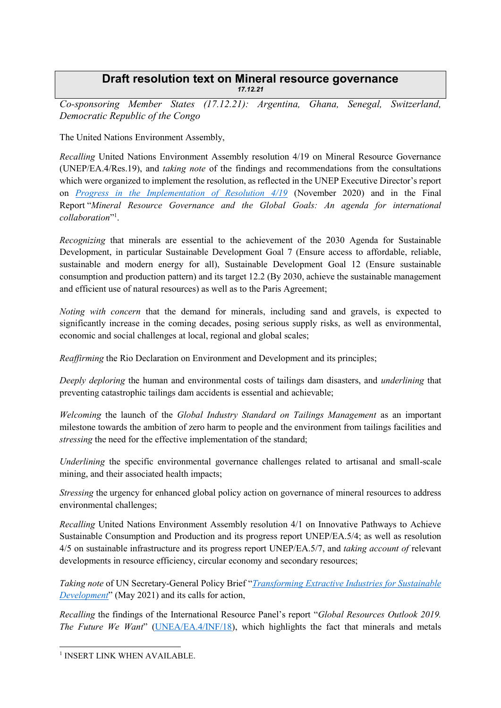## **Draft resolution text on Mineral resource governance**  *17.12.21*

*Co-sponsoring Member States (17.12.21): Argentina, Ghana, Senegal, Switzerland, Democratic Republic of the Congo*

The United Nations Environment Assembly,

*Recalling* United Nations Environment Assembly resolution 4/19 on Mineral Resource Governance (UNEP/EA.4/Res.19), and *taking note* of the findings and recommendations from the consultations which were organized to implement the resolution, as reflected in the UNEP Executive Director's report on *[Progress in the Implementation of Resolution 4/19](https://www.greengrowthknowledge.org/sites/default/files/K2002669-E.pdf)* (November 2020) and in the Final Report "*Mineral Resource Governance and the Global Goals: An agenda for international collaboration*" 1 .

*Recognizing* that minerals are essential to the achievement of the 2030 Agenda for Sustainable Development, in particular Sustainable Development Goal 7 (Ensure access to affordable, reliable, sustainable and modern energy for all), Sustainable Development Goal 12 (Ensure sustainable consumption and production pattern) and its target 12.2 (By 2030, achieve the sustainable management and efficient use of natural resources) as well as to the Paris Agreement;

*Noting with concern* that the demand for minerals, including sand and gravels, is expected to significantly increase in the coming decades, posing serious supply risks, as well as environmental, economic and social challenges at local, regional and global scales;

*Reaffirming* the Rio Declaration on Environment and Development and its principles;

*Deeply deploring* the human and environmental costs of tailings dam disasters, and *underlining* that preventing catastrophic tailings dam accidents is essential and achievable;

*Welcoming* the launch of the *Global Industry Standard on Tailings Management* as an important milestone towards the ambition of zero harm to people and the environment from tailings facilities and *stressing* the need for the effective implementation of the standard;

*Underlining* the specific environmental governance challenges related to artisanal and small-scale mining, and their associated health impacts;

*Stressing* the urgency for enhanced global policy action on governance of mineral resources to address environmental challenges;

*Recalling* United Nations Environment Assembly resolution 4/1 on Innovative Pathways to Achieve Sustainable Consumption and Production and its progress report UNEP/EA.5/4; as well as resolution 4/5 on sustainable infrastructure and its progress report UNEP/EA.5/7, and *taking account of* relevant developments in resource efficiency, circular economy and secondary resources;

*Taking note* of UN Secretary-General Policy Brief "*[Transforming Extractive Industries for Sustainable](https://www.un.org/sites/un2.un.org/files/sg_policy_brief_extractives.pdf)  [Development](https://www.un.org/sites/un2.un.org/files/sg_policy_brief_extractives.pdf)*" (May 2021) and its calls for action,

*Recalling* the findings of the International Resource Panel's report "*Global Resources Outlook 2019. The Future We Want*" ([UNEA/EA.4/INF/18\)](http://wedocs.unep.org/bitstream/handle/20.500.11822/31192/unep_252_global_resource_outlook_2019_web.pdf?sequence=1&isAllowed=y), which highlights the fact that minerals and metals

-

<sup>&</sup>lt;sup>1</sup> INSERT LINK WHEN AVAILABLE.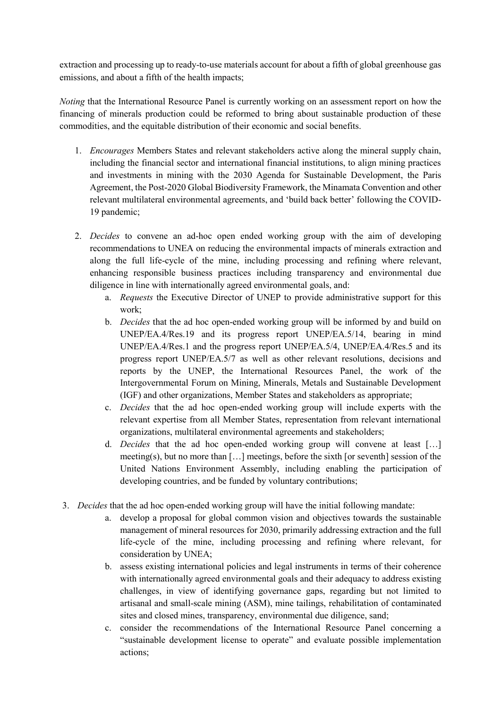extraction and processing up to ready-to-use materials account for about a fifth of global greenhouse gas emissions, and about a fifth of the health impacts;

*Noting* that the International Resource Panel is currently working on an assessment report on how the financing of minerals production could be reformed to bring about sustainable production of these commodities, and the equitable distribution of their economic and social benefits.

- 1. *Encourages* Members States and relevant stakeholders active along the mineral supply chain, including the financial sector and international financial institutions, to align mining practices and investments in mining with the 2030 Agenda for Sustainable Development, the Paris Agreement, the Post-2020 Global Biodiversity Framework, the Minamata Convention and other relevant multilateral environmental agreements, and 'build back better' following the COVID-19 pandemic;
- 2. *Decides* to convene an ad-hoc open ended working group with the aim of developing recommendations to UNEA on reducing the environmental impacts of minerals extraction and along the full life-cycle of the mine, including processing and refining where relevant, enhancing responsible business practices including transparency and environmental due diligence in line with internationally agreed environmental goals, and:
	- a. *Requests* the Executive Director of UNEP to provide administrative support for this work;
	- b. *Decides* that the ad hoc open-ended working group will be informed by and build on UNEP/EA.4/Res.19 and its progress report UNEP/EA.5/14, bearing in mind UNEP/EA.4/Res.1 and the progress report UNEP/EA.5/4, UNEP/EA.4/Res.5 and its progress report UNEP/EA.5/7 as well as other relevant resolutions, decisions and reports by the UNEP, the International Resources Panel, the work of the Intergovernmental Forum on Mining, Minerals, Metals and Sustainable Development (IGF) and other organizations, Member States and stakeholders as appropriate;
	- c. *Decides* that the ad hoc open-ended working group will include experts with the relevant expertise from all Member States, representation from relevant international organizations, multilateral environmental agreements and stakeholders;
	- d. *Decides* that the ad hoc open-ended working group will convene at least […] meeting(s), but no more than […] meetings, before the sixth [or seventh] session of the United Nations Environment Assembly, including enabling the participation of developing countries, and be funded by voluntary contributions;
- 3. *Decides* that the ad hoc open-ended working group will have the initial following mandate:
	- a. develop a proposal for global common vision and objectives towards the sustainable management of mineral resources for 2030, primarily addressing extraction and the full life-cycle of the mine, including processing and refining where relevant, for consideration by UNEA;
	- b. assess existing international policies and legal instruments in terms of their coherence with internationally agreed environmental goals and their adequacy to address existing challenges, in view of identifying governance gaps, regarding but not limited to artisanal and small-scale mining (ASM), mine tailings, rehabilitation of contaminated sites and closed mines, transparency, environmental due diligence, sand;
	- c. consider the recommendations of the International Resource Panel concerning a "sustainable development license to operate" and evaluate possible implementation actions;